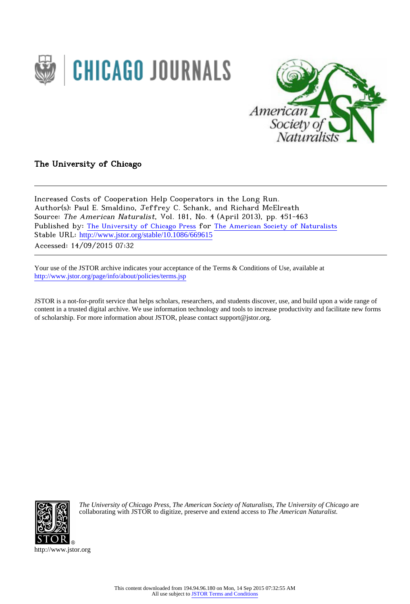



The University of Chicago

Increased Costs of Cooperation Help Cooperators in the Long Run. Author(s): Paul E. Smaldino, Jeffrey C. Schank, and Richard McElreath Source: The American Naturalist, Vol. 181, No. 4 (April 2013), pp. 451-463 Published by: [The University of Chicago Press](http://www.jstor.org/action/showPublisher?publisherCode=ucpress) for [The American Society of Naturalists](http://www.jstor.org/action/showPublisher?publisherCode=amsocnat) Stable URL: http://www.jstor.org/stable/10.1086/669615

Accessed: 14/09/2015 07:32

Your use of the JSTOR archive indicates your acceptance of the Terms & Conditions of Use, available at <http://www.jstor.org/page/info/about/policies/terms.jsp>

JSTOR is a not-for-profit service that helps scholars, researchers, and students discover, use, and build upon a wide range of content in a trusted digital archive. We use information technology and tools to increase productivity and facilitate new forms of scholarship. For more information about JSTOR, please contact support@jstor.org.



*The University of Chicago Press*, *The American Society of Naturalists*, *The University of Chicago* are collaborating with JSTOR to digitize, preserve and extend access to *The American Naturalist.*

http://www.jstor.org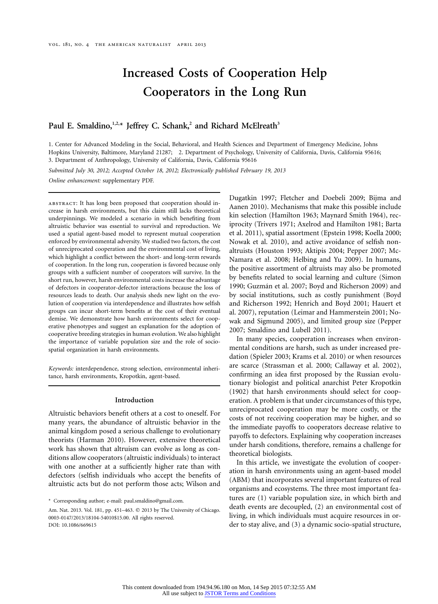# **Increased Costs of Cooperation Help Cooperators in the Long Run**

## Paul E. Smaldino,<sup>1,2,\*</sup> Jeffrey C. Schank,<sup>2</sup> and Richard McElreath<sup>3</sup>

1. Center for Advanced Modeling in the Social, Behavioral, and Health Sciences and Department of Emergency Medicine, Johns Hopkins University, Baltimore, Maryland 21287; 2. Department of Psychology, University of California, Davis, California 95616; 3. Department of Anthropology, University of California, Davis, California 95616

*Submitted July 30, 2012; Accepted October 18, 2012; Electronically published February 19, 2013 Online enhancement:* supplementary PDF.

abstract: It has long been proposed that cooperation should increase in harsh environments, but this claim still lacks theoretical underpinnings. We modeled a scenario in which benefiting from altruistic behavior was essential to survival and reproduction. We used a spatial agent-based model to represent mutual cooperation enforced by environmental adversity. We studied two factors, the cost of unreciprocated cooperation and the environmental cost of living, which highlight a conflict between the short- and long-term rewards of cooperation. In the long run, cooperation is favored because only groups with a sufficient number of cooperators will survive. In the short run, however, harsh environmental costs increase the advantage of defectors in cooperator-defector interactions because the loss of resources leads to death. Our analysis sheds new light on the evolution of cooperation via interdependence and illustrates how selfish groups can incur short-term benefits at the cost of their eventual demise. We demonstrate how harsh environments select for cooperative phenotypes and suggest an explanation for the adoption of cooperative breeding strategies in human evolution. We also highlight the importance of variable population size and the role of sociospatial organization in harsh environments.

*Keywords:* interdependence, strong selection, environmental inheritance, harsh environments, Kropotkin, agent-based.

#### **Introduction**

Altruistic behaviors benefit others at a cost to oneself. For many years, the abundance of altruistic behavior in the animal kingdom posed a serious challenge to evolutionary theorists (Harman 2010). However, extensive theoretical work has shown that altruism can evolve as long as conditions allow cooperators (altruistic individuals) to interact with one another at a sufficiently higher rate than with defectors (selfish individuals who accept the benefits of altruistic acts but do not perform those acts; Wilson and

Dugatkin 1997; Fletcher and Doebeli 2009; Bijma and Aanen 2010). Mechanisms that make this possible include kin selection (Hamilton 1963; Maynard Smith 1964), reciprocity (Trivers 1971; Axelrod and Hamilton 1981; Barta et al. 2011), spatial assortment (Epstein 1998; Koella 2000; Nowak et al. 2010), and active avoidance of selfish nonaltruists (Houston 1993; Aktipis 2004; Pepper 2007; Mc-Namara et al. 2008; Helbing and Yu 2009). In humans, the positive assortment of altruists may also be promoted by benefits related to social learning and culture (Simon 1990; Guzmán et al. 2007; Boyd and Richerson 2009) and by social institutions, such as costly punishment (Boyd and Richerson 1992; Henrich and Boyd 2001; Hauert et al. 2007), reputation (Leimar and Hammerstein 2001; Nowak and Sigmund 2005), and limited group size (Pepper 2007; Smaldino and Lubell 2011).

In many species, cooperation increases when environmental conditions are harsh, such as under increased predation (Spieler 2003; Krams et al. 2010) or when resources are scarce (Strassman et al. 2000; Callaway et al. 2002), confirming an idea first proposed by the Russian evolutionary biologist and political anarchist Peter Kropotkin (1902) that harsh environments should select for cooperation. A problem is that under circumstances of this type, unreciprocated cooperation may be more costly, or the costs of not receiving cooperation may be higher, and so the immediate payoffs to cooperators decrease relative to payoffs to defectors. Explaining why cooperation increases under harsh conditions, therefore, remains a challenge for theoretical biologists.

In this article, we investigate the evolution of cooperation in harsh environments using an agent-based model (ABM) that incorporates several important features of real organisms and ecosystems. The three most important features are (1) variable population size, in which birth and death events are decoupled, (2) an environmental cost of living, in which individuals must acquire resources in order to stay alive, and (3) a dynamic socio-spatial structure,

<sup>\*</sup> Corresponding author; e-mail: [paul.smaldino@gmail.com.](mailto:paul.smaldino@gmail.com)

Am. Nat. 2013. Vol. 181, pp. 451-463. © 2013 by The University of Chicago. 0003-0147/2013/18104-54010\$15.00. All rights reserved. DOI: 10.1086/669615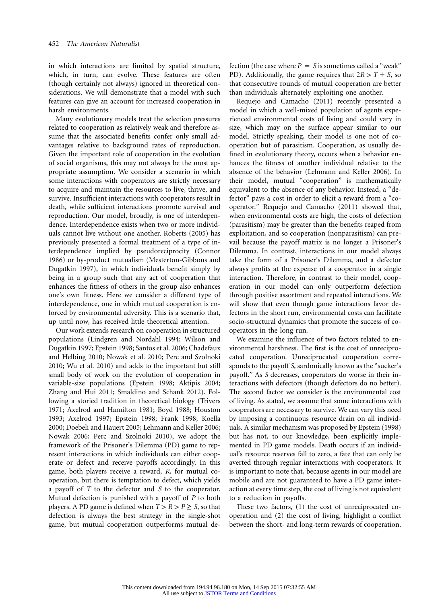in which interactions are limited by spatial structure, which, in turn, can evolve. These features are often (though certainly not always) ignored in theoretical considerations. We will demonstrate that a model with such features can give an account for increased cooperation in harsh environments.

Many evolutionary models treat the selection pressures related to cooperation as relatively weak and therefore assume that the associated benefits confer only small advantages relative to background rates of reproduction. Given the important role of cooperation in the evolution of social organisms, this may not always be the most appropriate assumption. We consider a scenario in which some interactions with cooperators are strictly necessary to acquire and maintain the resources to live, thrive, and survive. Insufficient interactions with cooperators result in death, while sufficient interactions promote survival and reproduction. Our model, broadly, is one of interdependence. Interdependence exists when two or more individuals cannot live without one another. Roberts (2005) has previously presented a formal treatment of a type of interdependence implied by pseudoreciprocity (Connor 1986) or by-product mutualism (Mesterton-Gibbons and Dugatkin 1997), in which individuals benefit simply by being in a group such that any act of cooperation that enhances the fitness of others in the group also enhances one's own fitness. Here we consider a different type of interdependence, one in which mutual cooperation is enforced by environmental adversity. This is a scenario that, up until now, has received little theoretical attention.

Our work extends research on cooperation in structured populations (Lindgren and Nordahl 1994; Wilson and Dugatkin 1997; Epstein 1998; Santos et al. 2006; Chadefaux and Helbing 2010; Nowak et al. 2010; Perc and Szolnoki 2010; Wu et al. 2010) and adds to the important but still small body of work on the evolution of cooperation in variable-size populations (Epstein 1998; Aktipis 2004; Zhang and Hui 2011; Smaldino and Schank 2012). Following a storied tradition in theoretical biology (Trivers 1971; Axelrod and Hamilton 1981; Boyd 1988; Houston 1993; Axelrod 1997; Epstein 1998; Frank 1998; Koella 2000; Doebeli and Hauert 2005; Lehmann and Keller 2006; Nowak 2006; Perc and Szolnoki 2010), we adopt the framework of the Prisoner's Dilemma (PD) game to represent interactions in which individuals can either cooperate or defect and receive payoffs accordingly. In this game, both players receive a reward, *R*, for mutual cooperation, but there is temptation to defect, which yields a payoff of *T* to the defector and *S* to the cooperator. Mutual defection is punished with a payoff of *P* to both players. A PD game is defined when  $T > R > P \geq S$ , so that defection is always the best strategy in the single-shot game, but mutual cooperation outperforms mutual defection (the case where  $P = S$  is sometimes called a "weak" PD). Additionally, the game requires that  $2R > T + S$ , so that consecutive rounds of mutual cooperation are better than individuals alternately exploiting one another.

Requejo and Camacho (2011) recently presented a model in which a well-mixed population of agents experienced environmental costs of living and could vary in size, which may on the surface appear similar to our model. Strictly speaking, their model is one not of cooperation but of parasitism. Cooperation, as usually defined in evolutionary theory, occurs when a behavior enhances the fitness of another individual relative to the absence of the behavior (Lehmann and Keller 2006). In their model, mutual "cooperation" is mathematically equivalent to the absence of any behavior. Instead, a "defector" pays a cost in order to elicit a reward from a "cooperator." Requejo and Camacho (2011) showed that, when environmental costs are high, the costs of defection (parasitism) may be greater than the benefits reaped from exploitation, and so cooperation (nonparasitism) can prevail because the payoff matrix is no longer a Prisoner's Dilemma. In contrast, interactions in our model always take the form of a Prisoner's Dilemma, and a defector always profits at the expense of a cooperator in a single interaction. Therefore, in contrast to their model, cooperation in our model can only outperform defection through positive assortment and repeated interactions. We will show that even though game interactions favor defectors in the short run, environmental costs can facilitate socio-structural dynamics that promote the success of cooperators in the long run.

We examine the influence of two factors related to environmental harshness. The first is the cost of unreciprocated cooperation. Unreciprocated cooperation corresponds to the payoff *S*, sardonically known as the "sucker's payoff." As *S* decreases, cooperators do worse in their interactions with defectors (though defectors do no better). The second factor we consider is the environmental cost of living. As stated, we assume that some interactions with cooperators are necessary to survive. We can vary this need by imposing a continuous resource drain on all individuals. A similar mechanism was proposed by Epstein (1998) but has not, to our knowledge, been explicitly implemented in PD game models. Death occurs if an individual's resource reserves fall to zero, a fate that can only be averted through regular interactions with cooperators. It is important to note that, because agents in our model are mobile and are not guaranteed to have a PD game interaction at every time step, the cost of living is not equivalent to a reduction in payoffs.

These two factors, (1) the cost of unreciprocated cooperation and (2) the cost of living, highlight a conflict between the short- and long-term rewards of cooperation.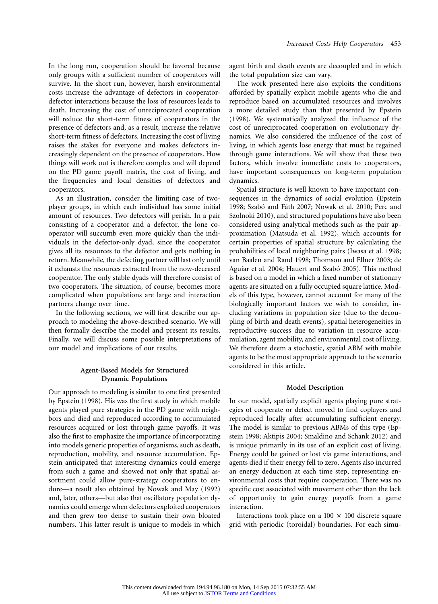In the long run, cooperation should be favored because only groups with a sufficient number of cooperators will survive. In the short run, however, harsh environmental costs increase the advantage of defectors in cooperatordefector interactions because the loss of resources leads to death. Increasing the cost of unreciprocated cooperation will reduce the short-term fitness of cooperators in the presence of defectors and, as a result, increase the relative short-term fitness of defectors. Increasing the cost of living raises the stakes for everyone and makes defectors increasingly dependent on the presence of cooperators. How things will work out is therefore complex and will depend on the PD game payoff matrix, the cost of living, and the frequencies and local densities of defectors and cooperators.

As an illustration, consider the limiting case of twoplayer groups, in which each individual has some initial amount of resources. Two defectors will perish. In a pair consisting of a cooperator and a defector, the lone cooperator will succumb even more quickly than the individuals in the defector-only dyad, since the cooperator gives all its resources to the defector and gets nothing in return. Meanwhile, the defecting partner will last only until it exhausts the resources extracted from the now-deceased cooperator. The only stable dyads will therefore consist of two cooperators. The situation, of course, becomes more complicated when populations are large and interaction partners change over time.

In the following sections, we will first describe our approach to modeling the above-described scenario. We will then formally describe the model and present its results. Finally, we will discuss some possible interpretations of our model and implications of our results.

## **Agent-Based Models for Structured Dynamic Populations**

Our approach to modeling is similar to one first presented by Epstein (1998). His was the first study in which mobile agents played pure strategies in the PD game with neighbors and died and reproduced according to accumulated resources acquired or lost through game payoffs. It was also the first to emphasize the importance of incorporating into models generic properties of organisms, such as death, reproduction, mobility, and resource accumulation. Epstein anticipated that interesting dynamics could emerge from such a game and showed not only that spatial assortment could allow pure-strategy cooperators to endure—a result also obtained by Nowak and May (1992) and, later, others—but also that oscillatory population dynamics could emerge when defectors exploited cooperators and then grew too dense to sustain their own bloated numbers. This latter result is unique to models in which agent birth and death events are decoupled and in which the total population size can vary.

The work presented here also exploits the conditions afforded by spatially explicit mobile agents who die and reproduce based on accumulated resources and involves a more detailed study than that presented by Epstein (1998). We systematically analyzed the influence of the cost of unreciprocated cooperation on evolutionary dynamics. We also considered the influence of the cost of living, in which agents lose energy that must be regained through game interactions. We will show that these two factors, which involve immediate costs to cooperators, have important consequences on long-term population dynamics.

Spatial structure is well known to have important consequences in the dynamics of social evolution (Epstein 1998; Szabó and Fáth 2007; Nowak et al. 2010; Perc and Szolnoki 2010), and structured populations have also been considered using analytical methods such as the pair approximation (Matsuda et al. 1992), which accounts for certain properties of spatial structure by calculating the probabilities of local neighboring pairs (Iwasa et al. 1998; van Baalen and Rand 1998; Thomson and Ellner 2003; de Aguiar et al. 2004; Hauert and Szabó 2005). This method is based on a model in which a fixed number of stationary agents are situated on a fully occupied square lattice. Models of this type, however, cannot account for many of the biologically important factors we wish to consider, including variations in population size (due to the decoupling of birth and death events), spatial heterogeneities in reproductive success due to variation in resource accumulation, agent mobility, and environmental cost of living. We therefore deem a stochastic, spatial ABM with mobile agents to be the most appropriate approach to the scenario considered in this article.

#### **Model Description**

In our model, spatially explicit agents playing pure strategies of cooperate or defect moved to find coplayers and reproduced locally after accumulating sufficient energy. The model is similar to previous ABMs of this type (Epstein 1998; Aktipis 2004; Smaldino and Schank 2012) and is unique primarily in its use of an explicit cost of living. Energy could be gained or lost via game interactions, and agents died if their energy fell to zero. Agents also incurred an energy deduction at each time step, representing environmental costs that require cooperation. There was no specific cost associated with movement other than the lack of opportunity to gain energy payoffs from a game interaction.

Interactions took place on a  $100 \times 100$  discrete square grid with periodic (toroidal) boundaries. For each simu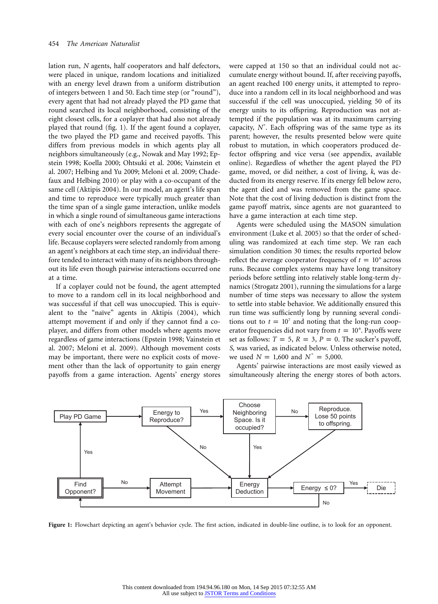lation run, *N* agents, half cooperators and half defectors, were placed in unique, random locations and initialized with an energy level drawn from a uniform distribution of integers between 1 and 50. Each time step (or "round"), every agent that had not already played the PD game that round searched its local neighborhood, consisting of the eight closest cells, for a coplayer that had also not already played that round (fig. 1). If the agent found a coplayer, the two played the PD game and received payoffs. This differs from previous models in which agents play all neighbors simultaneously (e.g., Nowak and May 1992; Epstein 1998; Koella 2000; Ohtsuki et al. 2006; Vainstein et al. 2007; Helbing and Yu 2009; Meloni et al. 2009; Chadefaux and Helbing 2010) or play with a co-occupant of the same cell (Aktipis 2004). In our model, an agent's life span and time to reproduce were typically much greater than the time span of a single game interaction, unlike models in which a single round of simultaneous game interactions with each of one's neighbors represents the aggregate of every social encounter over the course of an individual's life. Because coplayers were selected randomly from among an agent's neighbors at each time step, an individual therefore tended to interact with many of its neighbors throughout its life even though pairwise interactions occurred one at a time.

If a coplayer could not be found, the agent attempted to move to a random cell in its local neighborhood and was successful if that cell was unoccupied. This is equivalent to the "naïve" agents in Aktipis (2004), which attempt movement if and only if they cannot find a coplayer, and differs from other models where agents move regardless of game interactions (Epstein 1998; Vainstein et al. 2007; Meloni et al. 2009). Although movement costs may be important, there were no explicit costs of movement other than the lack of opportunity to gain energy payoffs from a game interaction. Agents' energy stores were capped at 150 so that an individual could not accumulate energy without bound. If, after receiving payoffs, an agent reached 100 energy units, it attempted to reproduce into a random cell in its local neighborhood and was successful if the cell was unoccupied, yielding 50 of its energy units to its offspring. Reproduction was not attempted if the population was at its maximum carrying capacity, *N*\* . Each offspring was of the same type as its parent; however, the results presented below were quite robust to mutation, in which cooperators produced defector offspring and vice versa (see appendix, available online). Regardless of whether the agent played the PD game, moved, or did neither, a cost of living, *k*, was deducted from its energy reserve. If its energy fell below zero, the agent died and was removed from the game space. Note that the cost of living deduction is distinct from the game payoff matrix, since agents are not guaranteed to have a game interaction at each time step.

Agents were scheduled using the MASON simulation environment (Luke et al. 2005) so that the order of scheduling was randomized at each time step. We ran each simulation condition 30 times; the results reported below reflect the average cooperator frequency of  $t = 10^6$  across runs. Because complex systems may have long transitory periods before settling into relatively stable long-term dynamics (Strogatz 2001), running the simulations for a large number of time steps was necessary to allow the system to settle into stable behavior. We additionally ensured this run time was sufficiently long by running several conditions out to  $t = 10^7$  and noting that the long-run cooperator frequencies did not vary from  $t = 10^6$ . Payoffs were set as follows:  $T = 5$ ,  $R = 3$ ,  $P = 0$ . The sucker's payoff, *S*, was varied, as indicated below. Unless otherwise noted, we used  $N = 1,600$  and  $N^* = 5,000$ .

Agents' pairwise interactions are most easily viewed as simultaneously altering the energy stores of both actors.



Figure 1: Flowchart depicting an agent's behavior cycle. The first action, indicated in double-line outline, is to look for an opponent.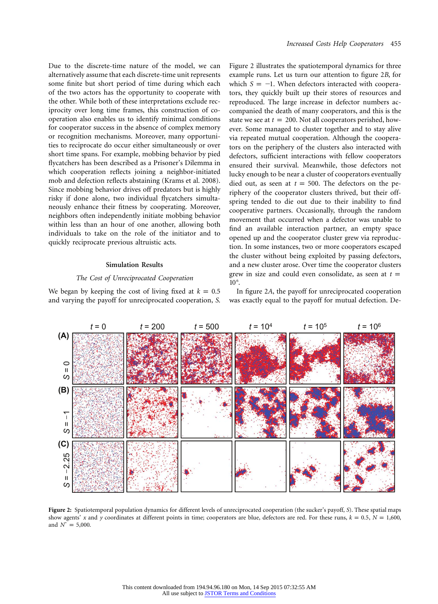Due to the discrete-time nature of the model, we can alternatively assume that each discrete-time unit represents some finite but short period of time during which each of the two actors has the opportunity to cooperate with the other. While both of these interpretations exclude reciprocity over long time frames, this construction of cooperation also enables us to identify minimal conditions for cooperator success in the absence of complex memory or recognition mechanisms. Moreover, many opportunities to reciprocate do occur either simultaneously or over short time spans. For example, mobbing behavior by pied flycatchers has been described as a Prisoner's Dilemma in which cooperation reflects joining a neighbor-initiated mob and defection reflects abstaining (Krams et al. 2008). Since mobbing behavior drives off predators but is highly risky if done alone, two individual flycatchers simultaneously enhance their fitness by cooperating. Moreover, neighbors often independently initiate mobbing behavior within less than an hour of one another, allowing both individuals to take on the role of the initiator and to quickly reciprocate previous altruistic acts.

## **Simulation Results**

## *The Cost of Unreciprocated Cooperation*

We began by keeping the cost of living fixed at  $k = 0.5$ and varying the payoff for unreciprocated cooperation, *S*. Figure 2 illustrates the spatiotemporal dynamics for three example runs. Let us turn our attention to figure 2*B*, for which  $S = -1$ . When defectors interacted with cooperators, they quickly built up their stores of resources and reproduced. The large increase in defector numbers accompanied the death of many cooperators, and this is the state we see at  $t = 200$ . Not all cooperators perished, however. Some managed to cluster together and to stay alive via repeated mutual cooperation. Although the cooperators on the periphery of the clusters also interacted with defectors, sufficient interactions with fellow cooperators ensured their survival. Meanwhile, those defectors not lucky enough to be near a cluster of cooperators eventually died out, as seen at  $t = 500$ . The defectors on the periphery of the cooperator clusters thrived, but their offspring tended to die out due to their inability to find cooperative partners. Occasionally, through the random movement that occurred when a defector was unable to find an available interaction partner, an empty space opened up and the cooperator cluster grew via reproduction. In some instances, two or more cooperators escaped the cluster without being exploited by passing defectors, and a new cluster arose. Over time the cooperator clusters grew in size and could even consolidate, as seen at  $t =$  $10^6$ .

In figure 2*A*, the payoff for unreciprocated cooperation was exactly equal to the payoff for mutual defection. De-



**Figure 2:** Spatiotemporal population dynamics for different levels of unreciprocated cooperation (the sucker's payoff, *S*). These spatial maps show agents' *x* and *y* coordinates at different points in time; cooperators are blue, defectors are red. For these runs,  $k = 0.5$ ,  $N = 1,600$ , and  $N^* = 5,000$ .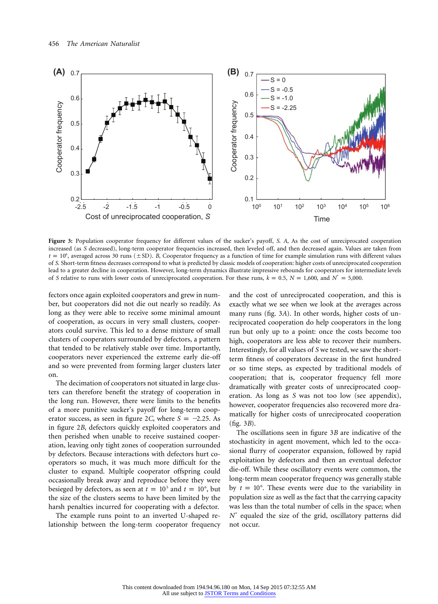

**Figure 3:** Population cooperator frequency for different values of the sucker's payoff, *S*. *A*, As the cost of unreciprocated cooperation increased (as *S* decreased), long-term cooperator frequencies increased, then leveled off, and then decreased again. Values are taken from  $t = 10<sup>6</sup>$ , averaged across 30 runs ( $\pm$ SD). *B*, Cooperator frequency as a function of time for example simulation runs with different values of *S*. Short-term fitness decreases correspond to what is predicted by classic models of cooperation: higher costs of unreciprocated cooperation lead to a greater decline in cooperation. However, long-term dynamics illustrate impressive rebounds for cooperators for intermediate levels of *S* relative to runs with lower costs of unreciprocated cooperation. For these runs,  $k = 0.5$ ,  $N = 1,600$ , and  $N^* = 5,000$ .

fectors once again exploited cooperators and grew in number, but cooperators did not die out nearly so readily. As long as they were able to receive some minimal amount of cooperation, as occurs in very small clusters, cooperators could survive. This led to a dense mixture of small clusters of cooperators surrounded by defectors, a pattern that tended to be relatively stable over time. Importantly, cooperators never experienced the extreme early die-off and so were prevented from forming larger clusters later on.

The decimation of cooperators not situated in large clusters can therefore benefit the strategy of cooperation in the long run. However, there were limits to the benefits of a more punitive sucker's payoff for long-term cooperator success, as seen in figure 2*C*, where  $S = -2.25$ . As in figure 2*B*, defectors quickly exploited cooperators and then perished when unable to receive sustained cooperation, leaving only tight zones of cooperation surrounded by defectors. Because interactions with defectors hurt cooperators so much, it was much more difficult for the cluster to expand. Multiple cooperator offspring could occasionally break away and reproduce before they were besieged by defectors, as seen at  $t = 10^5$  and  $t = 10^6$ , but the size of the clusters seems to have been limited by the harsh penalties incurred for cooperating with a defector.

The example runs point to an inverted U-shaped relationship between the long-term cooperator frequency and the cost of unreciprocated cooperation, and this is exactly what we see when we look at the averages across many runs (fig. 3*A*). In other words, higher costs of unreciprocated cooperation do help cooperators in the long run but only up to a point: once the costs become too high, cooperators are less able to recover their numbers. Interestingly, for all values of *S* we tested, we saw the shortterm fitness of cooperators decrease in the first hundred or so time steps, as expected by traditional models of cooperation; that is, cooperator frequency fell more dramatically with greater costs of unreciprocated cooperation. As long as *S* was not too low (see appendix), however, cooperator frequencies also recovered more dramatically for higher costs of unreciprocated cooperation (fig. 3*B*).

The oscillations seen in figure 3*B* are indicative of the stochasticity in agent movement, which led to the occasional flurry of cooperator expansion, followed by rapid exploitation by defectors and then an eventual defector die-off. While these oscillatory events were common, the long-term mean cooperator frequency was generally stable by  $t = 10^6$ . These events were due to the variability in population size as well as the fact that the carrying capacity was less than the total number of cells in the space; when *N*\* equaled the size of the grid, oscillatory patterns did not occur.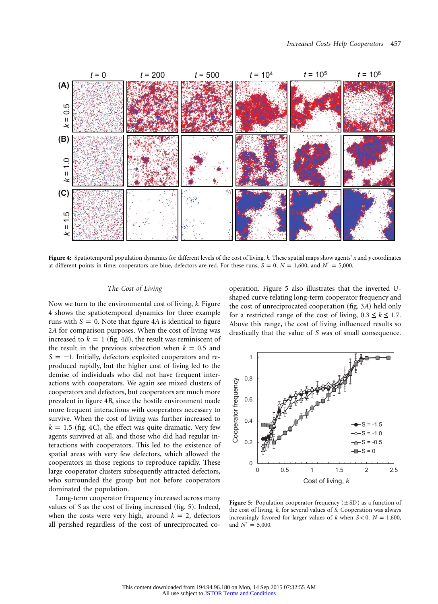

**Figure 4:** Spatiotemporal population dynamics for different levels of the cost of living, *k*. These spatial maps show agents' *x* and *y* coordinates at different points in time; cooperators are blue, defectors are red. For these runs,  $S = 0$ ,  $N = 1,600$ , and  $N^* = 5,000$ .

## *The Cost of Living*

Now we turn to the environmental cost of living, *k*. Figure 4 shows the spatiotemporal dynamics for three example runs with  $S = 0$ . Note that figure 4A is identical to figure 2*A* for comparison purposes. When the cost of living was increased to  $k = 1$  (fig. 4*B*), the result was reminiscent of the result in the previous subsection when  $k = 0.5$  and  $S = -1$ . Initially, defectors exploited cooperators and reproduced rapidly, but the higher cost of living led to the demise of individuals who did not have frequent interactions with cooperators. We again see mixed clusters of cooperators and defectors, but cooperators are much more prevalent in figure 4*B*, since the hostile environment made more frequent interactions with cooperators necessary to survive. When the cost of living was further increased to  $k = 1.5$  (fig. 4*C*), the effect was quite dramatic. Very few agents survived at all, and those who did had regular interactions with cooperators. This led to the existence of spatial areas with very few defectors, which allowed the cooperators in those regions to reproduce rapidly. These large cooperator clusters subsequently attracted defectors, who surrounded the group but not before cooperators dominated the population.

Long-term cooperator frequency increased across many values of *S* as the cost of living increased (fig. 5). Indeed, when the costs were very high, around  $k = 2$ , defectors all perished regardless of the cost of unreciprocated cooperation. Figure 5 also illustrates that the inverted Ushaped curve relating long-term cooperator frequency and the cost of unreciprocated cooperation (fig. 3*A*) held only for a restricted range of the cost of living,  $0.3 \le k \le 1.7$ . Above this range, the cost of living influenced results so drastically that the value of *S* was of small consequence.



**Figure 5:** Population cooperator frequency  $(\pm SD)$  as a function of the cost of living, *k*, for several values of *S*. Cooperation was always increasingly favored for larger values of *k* when  $S < 0$ .  $N = 1,600$ , and  $N^* = 5,000$ .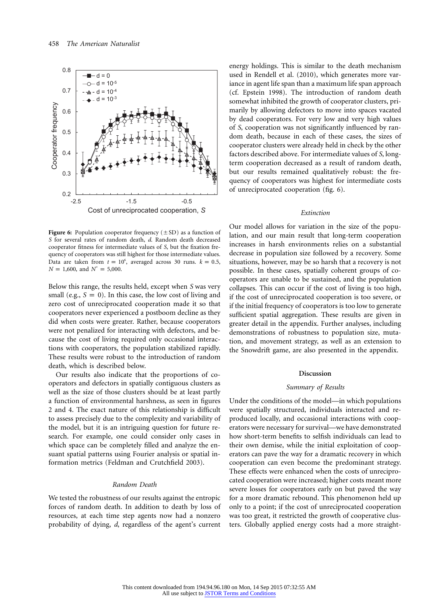

energy holdings. This is similar to the death mechanism used in Rendell et al. (2010), which generates more variance in agent life span than a maximum life span approach (cf. Epstein 1998). The introduction of random death somewhat inhibited the growth of cooperator clusters, primarily by allowing defectors to move into spaces vacated by dead cooperators. For very low and very high values of *S*, cooperation was not significantly influenced by random death, because in each of these cases, the sizes of cooperator clusters were already held in check by the other factors described above. For intermediate values of *S*, longterm cooperation decreased as a result of random death, but our results remained qualitatively robust: the frequency of cooperators was highest for intermediate costs of unreciprocated cooperation (fig. 6).

#### *Extinction*

**Figure 6:** Population cooperator frequency  $(\pm SD)$  as a function of *S* for several rates of random death, *d*. Random death decreased cooperator fitness for intermediate values of *S*, but the fixation frequency of cooperators was still highest for those intermediate values. Data are taken from  $t = 10^6$ , averaged across 30 runs.  $k = 0.5$ ,  $N = 1,600$ , and  $N^* = 5,000$ .

Below this range, the results held, except when *S* was very small (e.g.,  $S = 0$ ). In this case, the low cost of living and zero cost of unreciprocated cooperation made it so that cooperators never experienced a postboom decline as they did when costs were greater. Rather, because cooperators were not penalized for interacting with defectors, and because the cost of living required only occasional interactions with cooperators, the population stabilized rapidly. These results were robust to the introduction of random death, which is described below.

Our results also indicate that the proportions of cooperators and defectors in spatially contiguous clusters as well as the size of those clusters should be at least partly a function of environmental harshness, as seen in figures 2 and 4. The exact nature of this relationship is difficult to assess precisely due to the complexity and variability of the model, but it is an intriguing question for future research. For example, one could consider only cases in which space can be completely filled and analyze the ensuant spatial patterns using Fourier analysis or spatial information metrics (Feldman and Crutchfield 2003).

#### *Random Death*

We tested the robustness of our results against the entropic forces of random death. In addition to death by loss of resources, at each time step agents now had a nonzero probability of dying, *d*, regardless of the agent's current

Our model allows for variation in the size of the population, and our main result that long-term cooperation increases in harsh environments relies on a substantial decrease in population size followed by a recovery. Some situations, however, may be so harsh that a recovery is not possible. In these cases, spatially coherent groups of cooperators are unable to be sustained, and the population collapses. This can occur if the cost of living is too high, if the cost of unreciprocated cooperation is too severe, or if the initial frequency of cooperators is too low to generate sufficient spatial aggregation. These results are given in greater detail in the appendix. Further analyses, including demonstrations of robustness to population size, mutation, and movement strategy, as well as an extension to the Snowdrift game, are also presented in the appendix.

#### **Discussion**

#### *Summary of Results*

Under the conditions of the model—in which populations were spatially structured, individuals interacted and reproduced locally, and occasional interactions with cooperators were necessary for survival—we have demonstrated how short-term benefits to selfish individuals can lead to their own demise, while the initial exploitation of cooperators can pave the way for a dramatic recovery in which cooperation can even become the predominant strategy. These effects were enhanced when the costs of unreciprocated cooperation were increased; higher costs meant more severe losses for cooperators early on but paved the way for a more dramatic rebound. This phenomenon held up only to a point; if the cost of unreciprocated cooperation was too great, it restricted the growth of cooperative clusters. Globally applied energy costs had a more straight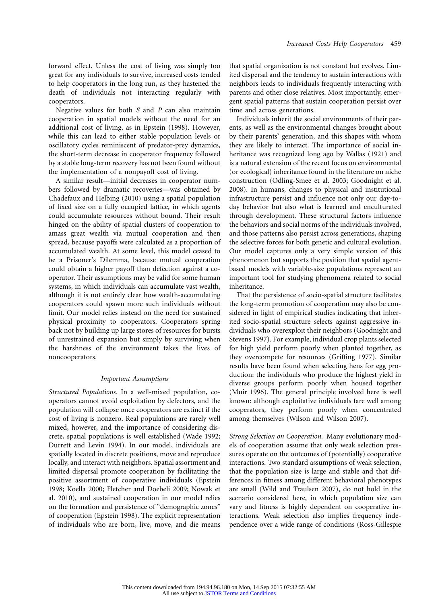forward effect. Unless the cost of living was simply too great for any individuals to survive, increased costs tended to help cooperators in the long run, as they hastened the death of individuals not interacting regularly with cooperators.

Negative values for both *S* and *P* can also maintain cooperation in spatial models without the need for an additional cost of living, as in Epstein (1998). However, while this can lead to either stable population levels or oscillatory cycles reminiscent of predator-prey dynamics, the short-term decrease in cooperator frequency followed by a stable long-term recovery has not been found without the implementation of a nonpayoff cost of living.

A similar result—initial decreases in cooperator numbers followed by dramatic recoveries—was obtained by Chadefaux and Helbing (2010) using a spatial population of fixed size on a fully occupied lattice, in which agents could accumulate resources without bound. Their result hinged on the ability of spatial clusters of cooperation to amass great wealth via mutual cooperation and then spread, because payoffs were calculated as a proportion of accumulated wealth. At some level, this model ceased to be a Prisoner's Dilemma, because mutual cooperation could obtain a higher payoff than defection against a cooperator. Their assumptions may be valid for some human systems, in which individuals can accumulate vast wealth, although it is not entirely clear how wealth-accumulating cooperators could spawn more such individuals without limit. Our model relies instead on the need for sustained physical proximity to cooperators. Cooperators spring back not by building up large stores of resources for bursts of unrestrained expansion but simply by surviving when the harshness of the environment takes the lives of noncooperators.

## *Important Assumptions*

*Structured Populations.* In a well-mixed population, cooperators cannot avoid exploitation by defectors, and the population will collapse once cooperators are extinct if the cost of living is nonzero. Real populations are rarely well mixed, however, and the importance of considering discrete, spatial populations is well established (Wade 1992; Durrett and Levin 1994). In our model, individuals are spatially located in discrete positions, move and reproduce locally, and interact with neighbors. Spatial assortment and limited dispersal promote cooperation by facilitating the positive assortment of cooperative individuals (Epstein 1998; Koella 2000; Fletcher and Doebeli 2009; Nowak et al. 2010), and sustained cooperation in our model relies on the formation and persistence of "demographic zones" of cooperation (Epstein 1998). The explicit representation of individuals who are born, live, move, and die means that spatial organization is not constant but evolves. Limited dispersal and the tendency to sustain interactions with neighbors leads to individuals frequently interacting with parents and other close relatives. Most importantly, emergent spatial patterns that sustain cooperation persist over time and across generations.

Individuals inherit the social environments of their parents, as well as the environmental changes brought about by their parents' generation, and this shapes with whom they are likely to interact. The importance of social inheritance was recognized long ago by Wallas (1921) and is a natural extension of the recent focus on environmental (or ecological) inheritance found in the literature on niche construction (Odling-Smee et al. 2003; Goodnight et al. 2008). In humans, changes to physical and institutional infrastructure persist and influence not only our day-today behavior but also what is learned and enculturated through development. These structural factors influence the behaviors and social norms of the individuals involved, and those patterns also persist across generations, shaping the selective forces for both genetic and cultural evolution. Our model captures only a very simple version of this phenomenon but supports the position that spatial agentbased models with variable-size populations represent an important tool for studying phenomena related to social inheritance.

That the persistence of socio-spatial structure facilitates the long-term promotion of cooperation may also be considered in light of empirical studies indicating that inherited socio-spatial structure selects against aggressive individuals who overexploit their neighbors (Goodnight and Stevens 1997). For example, individual crop plants selected for high yield perform poorly when planted together, as they overcompete for resources (Griffing 1977). Similar results have been found when selecting hens for egg production: the individuals who produce the highest yield in diverse groups perform poorly when housed together (Muir 1996). The general principle involved here is well known: although exploitative individuals fare well among cooperators, they perform poorly when concentrated among themselves (Wilson and Wilson 2007).

*Strong Selection on Cooperation.* Many evolutionary models of cooperation assume that only weak selection pressures operate on the outcomes of (potentially) cooperative interactions. Two standard assumptions of weak selection, that the population size is large and stable and that differences in fitness among different behavioral phenotypes are small (Wild and Traulsen 2007), do not hold in the scenario considered here, in which population size can vary and fitness is highly dependent on cooperative interactions. Weak selection also implies frequency independence over a wide range of conditions (Ross-Gillespie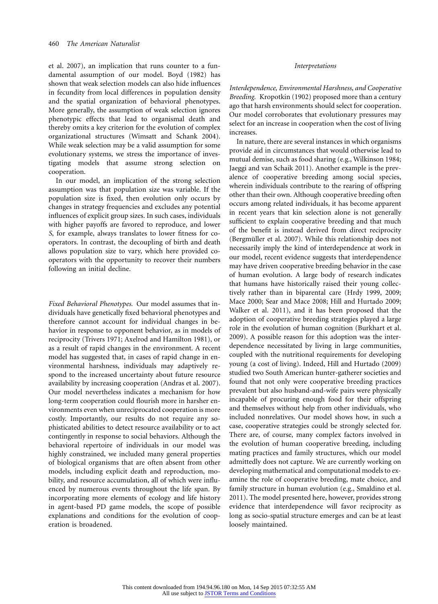et al. 2007), an implication that runs counter to a fundamental assumption of our model. Boyd (1982) has shown that weak selection models can also hide influences in fecundity from local differences in population density and the spatial organization of behavioral phenotypes. More generally, the assumption of weak selection ignores phenotypic effects that lead to organismal death and thereby omits a key criterion for the evolution of complex organizational structures (Wimsatt and Schank 2004). While weak selection may be a valid assumption for some evolutionary systems, we stress the importance of investigating models that assume strong selection on cooperation.

In our model, an implication of the strong selection assumption was that population size was variable. If the population size is fixed, then evolution only occurs by changes in strategy frequencies and excludes any potential influences of explicit group sizes. In such cases, individuals with higher payoffs are favored to reproduce, and lower *S*, for example, always translates to lower fitness for cooperators. In contrast, the decoupling of birth and death allows population size to vary, which here provided cooperators with the opportunity to recover their numbers following an initial decline.

*Fixed Behavioral Phenotypes.* Our model assumes that individuals have genetically fixed behavioral phenotypes and therefore cannot account for individual changes in behavior in response to opponent behavior, as in models of reciprocity (Trivers 1971; Axelrod and Hamilton 1981), or as a result of rapid changes in the environment. A recent model has suggested that, in cases of rapid change in environmental harshness, individuals may adaptively respond to the increased uncertainty about future resource availability by increasing cooperation (Andras et al. 2007). Our model nevertheless indicates a mechanism for how long-term cooperation could flourish more in harsher environments even when unreciprocated cooperation is more costly. Importantly, our results do not require any sophisticated abilities to detect resource availability or to act contingently in response to social behaviors. Although the behavioral repertoire of individuals in our model was highly constrained, we included many general properties of biological organisms that are often absent from other models, including explicit death and reproduction, mobility, and resource accumulation, all of which were influenced by numerous events throughout the life span. By incorporating more elements of ecology and life history in agent-based PD game models, the scope of possible explanations and conditions for the evolution of cooperation is broadened.

#### *Interpretations*

*Interdependence, Environmental Harshness, and Cooperative Breeding.* Kropotkin (1902) proposed more than a century ago that harsh environments should select for cooperation. Our model corroborates that evolutionary pressures may select for an increase in cooperation when the cost of living increases.

In nature, there are several instances in which organisms provide aid in circumstances that would otherwise lead to mutual demise, such as food sharing (e.g., Wilkinson 1984; Jaeggi and van Schaik 2011). Another example is the prevalence of cooperative breeding among social species, wherein individuals contribute to the rearing of offspring other than their own. Although cooperative breeding often occurs among related individuals, it has become apparent in recent years that kin selection alone is not generally sufficient to explain cooperative breeding and that much of the benefit is instead derived from direct reciprocity (Bergmüller et al. 2007). While this relationship does not necessarily imply the kind of interdependence at work in our model, recent evidence suggests that interdependence may have driven cooperative breeding behavior in the case of human evolution. A large body of research indicates that humans have historically raised their young collectively rather than in biparental care (Hrdy 1999, 2009; Mace 2000; Sear and Mace 2008; Hill and Hurtado 2009; Walker et al. 2011), and it has been proposed that the adoption of cooperative breeding strategies played a large role in the evolution of human cognition (Burkhart et al. 2009). A possible reason for this adoption was the interdependence necessitated by living in large communities, coupled with the nutritional requirements for developing young (a cost of living). Indeed, Hill and Hurtado (2009) studied two South American hunter-gatherer societies and found that not only were cooperative breeding practices prevalent but also husband-and-wife pairs were physically incapable of procuring enough food for their offspring and themselves without help from other individuals, who included nonrelatives. Our model shows how, in such a case, cooperative strategies could be strongly selected for. There are, of course, many complex factors involved in the evolution of human cooperative breeding, including mating practices and family structures, which our model admittedly does not capture. We are currently working on developing mathematical and computational models to examine the role of cooperative breeding, mate choice, and family structure in human evolution (e.g., Smaldino et al. 2011). The model presented here, however, provides strong evidence that interdependence will favor reciprocity as long as socio-spatial structure emerges and can be at least loosely maintained.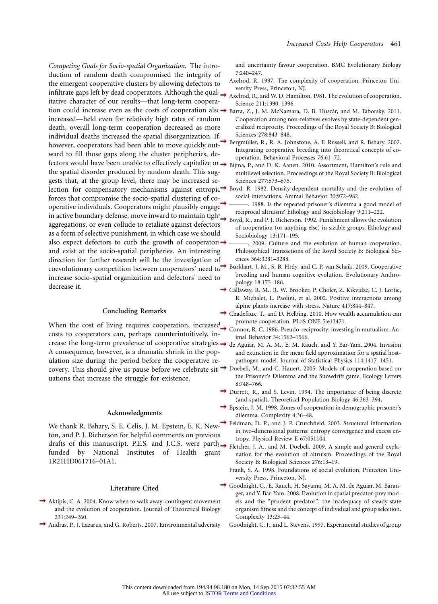*Competing Goals for Socio-spatial Organization.* The introduction of random death compromised the integrity of the emergent cooperative clusters by allowing defectors to infiltrate gaps left by dead cooperators. Although the qualitative character of our results—that long-term cooperation could increase even as the costs of cooperation als⇔ Barta, Z., J. M. McNamara, D. B. Huszár, and M. Taborsky. 2011. increased—held even for relatively high rates of random death, overall long-term cooperation decreased as more individual deaths increased the spatial disorganization. If however, cooperators had been able to move quickly outward to fill those gaps along the cluster peripheries, defectors would have been unable to effectively capitalize or  $\rightarrow$  Bijma, P., and D. K. Aanen. 2010. Assortment, Hamilton's rule and the spatial disorder produced by random death. This suggests that, at the group level, there may be increased selection for compensatory mechanisms against entropic Boyd, R. 1982. Density-dependent mortality and the evolution of forces that compromise the socio-spatial clustering of cooperative individuals. Cooperators might plausibly engage reciprocal altruism? Ethology and Sociobiology 9:211–222.<br>in active boundary defense, move inward to maintain tight and B and B J Bisharan, 1992. Bunishment allows the aggregations, or even collude to retaliate against defectors as a form of selective punishment, in which case we should also expect defectors to curb the growth of cooperators  $\rightarrow$ and exist at the socio-spatial peripheries. An interesting direction for further research will be the investigation of coevolutionary competition between cooperators' need to Burkhart, J. M., S. B. Hrdy, and C. P. van Schaik. 2009. Cooperative increase socio-spatial organization and defectors' need to decrease it.

## **Concluding Remarks**

When the cost of living requires cooperation, increased costs to cooperators can, perhaps counterintuitively, increase the long-term prevalence of cooperative strategies  $\rightarrow$  de Aguiar, M. A. M., E. M. Rauch, and Y. Bar-Yam. 2004. Invasion A consequence, however, is a dramatic shrink in the population size during the period before the cooperative reuations that increase the struggle for existence.

### **Acknowledgments**

We thank R. Bshary, S. E. Celis, J. M. Epstein, E. K. Newton, and P. J. Richerson for helpful comments on previous drafts of this manuscript. P.E.S. and J.C.S. were partly  $\rightarrow$  Fletcher, J. A., and M. Doebeli. 2009. A simple and general explafunded by National Institutes of Health grant 1R21HD061716–01A1.

#### **Literature Cited**

- Aktipis, C. A. 2004. Know when to walk away: contingent movement and the evolution of cooperation. Journal of Theoretical Biology 231:249–260.
- Andras, P., J. Lazarus, and G. Roberts. 2007. Environmental adversity

and uncertainty favour cooperation. BMC Evolutionary Biology 7:240–247.

- Axelrod, R. 1997. The complexity of cooperation. Princeton University Press, Princeton, NJ.
- Axelrod, R., and W. D. Hamilton. 1981. The evolution of cooperation. Science 211:1390–1396.
- Cooperation among non-relatives evolves by state-dependent generalized reciprocity. Proceedings of the Royal Society B: Biological Sciences 278:843–848.
- Bergmüller, R., R. A. Johnstone, A. F. Russell, and R. Bshary. 2007. Integrating cooperative breeding into theoretical concepts of cooperation. Behavioral Processes 76:61–72.
- multilevel selection. Proceedings of the Royal Society B: Biological Sciences 277:673–675.
- social interactions. Animal Behavior 30:972–982.
- -. 1988. Is the repeated prisoner's dilemma a good model of
- Boyd, R., and P. J. Richerson. 1992. Punishment allows the evolution of cooperation (or anything else) in sizable groups. Ethology and Sociobiology 13:171–195.
- -. 2009. Culture and the evolution of human cooperation. Philosophical Transactions of the Royal Society B: Biological Sciences 364:3281–3288.
- breeding and human cognitive evolution. Evolutionary Anthropology 18:175–186.
- Callaway, R. M., R. W. Brooker, P. Choler, Z. Kikvidze, C. J. Lortie, R. Michalet, L. Paolini, et al. 2002. Positive interactions among alpine plants increase with stress. Nature 417:844–847.
- Chadefaux, T., and D. Helbing. 2010. How wealth accumulation can promote cooperation. PLoS ONE 5:e13471.
	- Connor, R. C. 1986. Pseudo-reciprocity: investing in mutualism. Animal Behavior 34:1562–1566.
	- and extinction in the mean field approximation for a spatial hostpathogen model. Journal of Statistical Physics 114:1417–1451.
- covery. This should give us pause before we celebrate sit  $\rightarrow$  Doebeli, M., and C. Hauert. 2005. Models of cooperation based on the Prisoner's Dilemma and the Snowdrift game. Ecology Letters 8:748–766.
	- Durrett, R., and S. Levin. 1994. The importance of being discrete (and spatial). Theoretical Population Biology 46:363–394.
	- Epstein, J. M. 1998. Zones of cooperation in demographic prisoner's dilemma. Complexity 4:36–48.
	- Feldman, D. P., and J. P. Crutchfield. 2003. Structural information in two-dimensional patterns: entropy convergence and excess entropy. Physical Review E 67:051104.
	- nation for the evolution of altruism. Proceedings of the Royal Society B: Biological Sciences 276:13–19.
	- Frank, S. A. 1998. Foundations of social evolution. Princeton University Press, Princeton, NJ.
	- Goodnight, C., E. Rauch, H. Sayama, M. A. M. de Aguiar, M. Baranger, and Y. Bar-Yam. 2008. Evolution in spatial predator-prey models and the "prudent predator": the inadequacy of steady-state organism fitness and the concept of individual and group selection. Complexity 13:23–44.
	- Goodnight, C. J., and L. Stevens. 1997. Experimental studies of group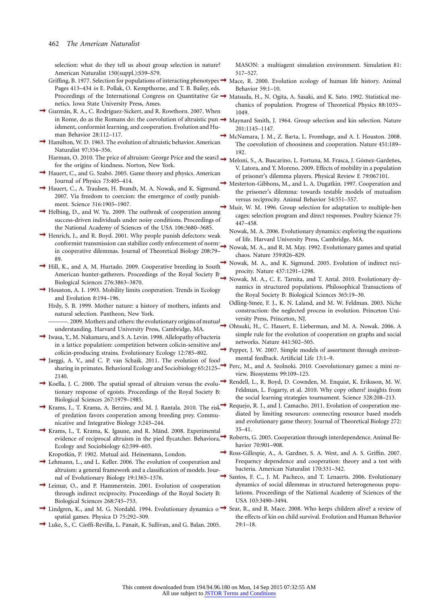selection: what do they tell us about group selection in nature? American Naturalist 150(suppl.):S59–S79.

- Griffing, B. 1977. Selection for populations of interacting phenotypes.  $\rightarrow$ Pages 413–434 *in* E. Pollak, O. Kempthorne, and T. B. Bailey, eds. Proceedings of the International Congress on Quantitative Ge $\rightarrow$ netics. Iowa State University Press, Ames.
- Guzmán, R. A., C. Rodríguez-Sickert, and R. Rowthorn. 2007. When in Rome, do as the Romans do: the coevolution of altruistic pun-Maynard Smith, J. 1964. Group selection and kin selection. Nature ishment, conformist learning, and cooperation. Evolution and Human Behavior 28:112–117.
- $\rightarrow$  Hamilton, W. D. 1963. The evolution of altruistic behavior. American Naturalist 97:354–356.
	- Harman, O. 2010. The price of altruism: George Price and the search Meloni, S., A. Buscarino, L. Fortuna, M. Frasca, J. Gómez-Gardeñes, for the origins of kindness. Norton, New York.
- $\bigstar$  Hauert, C., and G. Szabó. 2005. Game theory and physics. American Journal of Physics 73:405–414.
- Hauert, C., A. Traulsen, H. Brandt, M. A. Nowak, and K. Sigmund. 2007. Via freedom to coercion: the emergence of costly punishment. Science 316:1905–1907.
- Helbing, D., and W. Yu. 2009. The outbreak of cooperation among success-driven individuals under noisy conditions. Proceedings of the National Academy of Sciences of the USA 106:3680–3685.
- Henrich, J., and R. Boyd. 2001. Why people punish defectors: weak conformist transmission can stabilize costly enforcement of norms in cooperative dilemmas. Journal of Theoretical Biology 208:79– 89.
- $\rightarrow$  Hill, K., and A. M. Hurtado. 2009. Cooperative breeding in South American hunter-gatherers. Proceedings of the Royal Society B. Biological Sciences 276:3863–3870.
- Houston, A. I. 1993. Mobility limits cooperation. Trends in Ecology and Evolution 8:194–196.
	- Hrdy, S. B. 1999. Mother nature: a history of mothers, infants and natural selection. Pantheon, New York.
	- -. 2009. Mothers and others: the evolutionary origins of mutual understanding. Harvard University Press, Cambridge, MA.
- Iwasa, Y., M. Nakamaru, and S. A. Levin. 1998. Allelopathy of bacteria in a lattice population: competition between colicin-sensitive and colicin-producing strains. Evolutionary Ecology 12:785–802.
- Jaeggi, A. V., and C. P. van Schaik. 2011. The evolution of food sharing in primates. Behavioral Ecology and Sociobiology 65:2125– 2140.
- tionary response of egoists. Proceedings of the Royal Society B: Biological Sciences 267:1979–1985.
- of predation favors cooperation among breeding prey. Communicative and Integrative Biology 3:243–244.
- ◆ Krams, I., T. Krama, K. Igaune, and R. Mänd. 2008. Experimental evidence of reciprocal altruism in the pied flycatcher. Behavioral Ecology and Sociobiology 62:599–605.
- Kropotkin, P. 1902. Mutual aid. Heinemann, London.
- Lehmann, L., and L. Keller. 2006. The evolution of cooperation and altruism: a general framework and a classification of models. Journal of Evolutionary Biology 19:1365–1376.
- Leimar, O., and P. Hammerstein. 2001. Evolution of cooperation through indirect reciprocity. Proceedings of the Royal Society B: Biological Sciences 268:745–753.
- spatial games. Physica D 75:292–309.
- Luke, S., C. Cioffi-Revilla, L. Panait, K. Sullivan, and G. Balan. 2005.

MASON: a multiagent simulation environment. Simulation 81: 517–527.

- Mace, R. 2000. Evolution ecology of human life history. Animal Behavior 59:1–10.
- Matsuda, H., N. Ogita, A. Sasaki, and K. Sato. 1992. Statistical mechanics of population. Progress of Theoretical Physics 88:1035– 1049.
- 201:1145–1147.
- McNamara, J. M., Z. Barta, L. Fromhage, and A. I. Houston. 2008. The coevolution of choosiness and cooperation. Nature 451:189– 192.
- V. Latora, and Y. Moreno. 2009. Effects of mobility in a population of prisoner's dilemma players. Physical Review E 79:067101.
- Mesterton-Gibbons, M., and L. A. Dugatkin. 1997. Cooperation and the prisoner's dilemma: towards testable models of mutualism versus reciprocity. Animal Behavior 54:551–557.
- Muir, W. M. 1996. Group selection for adaptation to multiple-hen cages: selection program and direct responses. Poultry Science 75: 447–458.
- Nowak, M. A. 2006. Evolutionary dynamics: exploring the equations of life. Harvard University Press, Cambridge, MA.
- Nowak, M. A., and R. M. May. 1992. Evolutionary games and spatial chaos. Nature 359:826–829.
- Nowak, M. A., and K. Sigmund. 2005. Evolution of indirect reciprocity. Nature 437:1291–1298.
- Nowak, M. A., C. E. Tarnita, and T. Antal. 2010. Evolutionary dynamics in structured populations. Philosophical Transactions of the Royal Society B: Biological Sciences 365:19–30.
- Odling-Smee, F. J., K. N. Laland, and M. W. Feldman. 2003. Niche construction: the neglected process in evolution. Princeton University Press, Princeton, NJ.
- Ohtsuki, H., C. Hauert, E. Lieberman, and M. A. Nowak. 2006. A simple rule for the evolution of cooperation on graphs and social networks. Nature 441:502–505.
- Pepper, J. W. 2007. Simple models of assortment through environmental feedback. Artificial Life 13:1–9.
- Perc, M., and A. Szolnoki. 2010. Coevolutionary games: a mini review. Biosystems 99:109–125.
- Koella, J. C. 2000. The spatial spread of altruism versus the evolu-Rendell, L., R. Boyd, D. Cownden, M. Enquist, K. Eriksson, M. W. Feldman, L. Fogarty, et al. 2010. Why copy others? insights from the social learning strategies tournament. Science 328:208–213.
- Krams, I., T. Krama, A. Berzins, and M. J. Rantala. 2010. The risk Requejo, R. J., and J. Camacho. 2011. Evolution of cooperation mediated by limiting resources: connecting resource based models and evolutionary game theory. Journal of Theoretical Biology 272: 35–41.
	- Roberts, G. 2005. Cooperation through interdependence. Animal Behavior 70:901–908.
	- Ross-Gillespie, A., A. Gardner, S. A. West, and A. S. Griffin. 2007. Frequency dependence and cooperation: theory and a test with bacteria. American Naturalist 170:331–342.
	- Santos, F. C., J. M. Pacheco, and T. Lenaerts. 2006. Evolutionary dynamics of social dilemmas in structured heterogeneous populations. Proceedings of the National Academy of Sciences of the USA 103:3490–3494.
- Lindgren, K., and M. G. Nordahl. 1994. Evolutionary dynamics o. Sear, R., and R. Mace. 2008. Who keeps children alive? a review of the effects of kin on child survival. Evolution and Human Behavior 29:1–18.